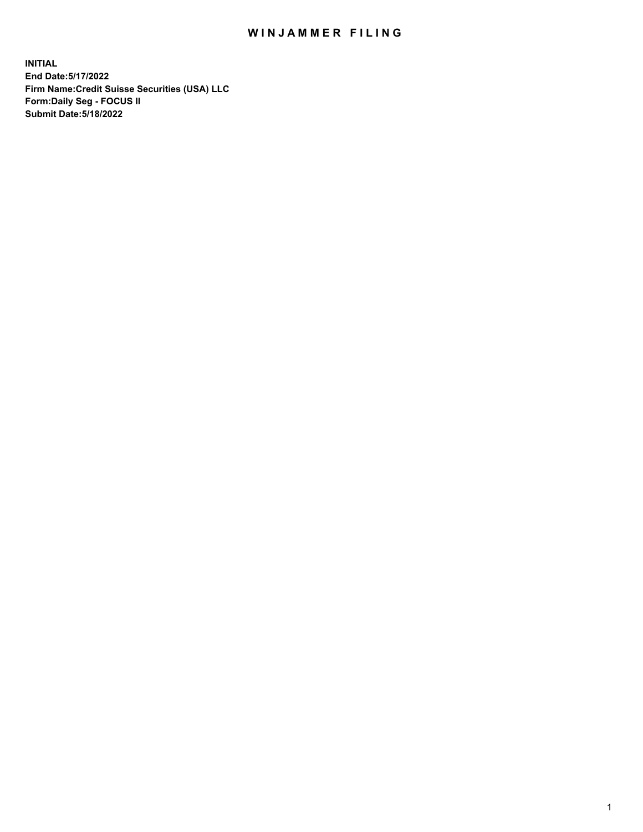## WIN JAMMER FILING

**INITIAL End Date:5/17/2022 Firm Name:Credit Suisse Securities (USA) LLC Form:Daily Seg - FOCUS II Submit Date:5/18/2022**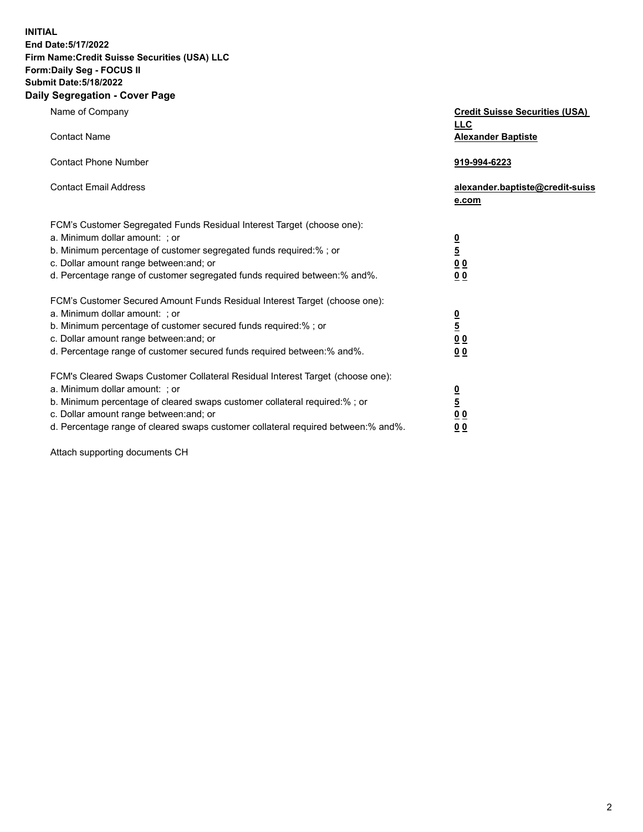**INITIAL End Date:5/17/2022** 

## **Firm Name:Credit Suisse Securities (USA) LLC Form:Daily Seg - FOCUS II Submit Date:5/18/2022**

## **Daily Segregation - Cover Page**

| Name of Company                                                                                                                                                                                                                                                                                                                | <b>Credit Suisse Securities (USA)</b><br><b>LLC</b>                   |
|--------------------------------------------------------------------------------------------------------------------------------------------------------------------------------------------------------------------------------------------------------------------------------------------------------------------------------|-----------------------------------------------------------------------|
| <b>Contact Name</b>                                                                                                                                                                                                                                                                                                            | <b>Alexander Baptiste</b>                                             |
| <b>Contact Phone Number</b>                                                                                                                                                                                                                                                                                                    | 919-994-6223                                                          |
| <b>Contact Email Address</b>                                                                                                                                                                                                                                                                                                   | alexander.baptiste@credit-suiss<br>e.com                              |
| FCM's Customer Segregated Funds Residual Interest Target (choose one):<br>a. Minimum dollar amount: ; or<br>b. Minimum percentage of customer segregated funds required:% ; or<br>c. Dollar amount range between: and; or<br>d. Percentage range of customer segregated funds required between:% and%.                         | $\frac{\frac{0}{5}}{\frac{0}{0}}$<br>0 <sub>0</sub>                   |
| FCM's Customer Secured Amount Funds Residual Interest Target (choose one):<br>a. Minimum dollar amount: ; or<br>b. Minimum percentage of customer secured funds required:%; or<br>c. Dollar amount range between: and; or<br>d. Percentage range of customer secured funds required between:% and%.                            | $\frac{0}{5}$<br>$\underline{0}$<br>$\underline{0}$<br>0 <sub>0</sub> |
| FCM's Cleared Swaps Customer Collateral Residual Interest Target (choose one):<br>a. Minimum dollar amount: ; or<br>b. Minimum percentage of cleared swaps customer collateral required:% ; or<br>c. Dollar amount range between: and; or<br>d. Percentage range of cleared swaps customer collateral required between:% and%. | $\frac{0}{5}$<br>0 <sub>0</sub><br>0 <sub>0</sub>                     |

Attach supporting documents CH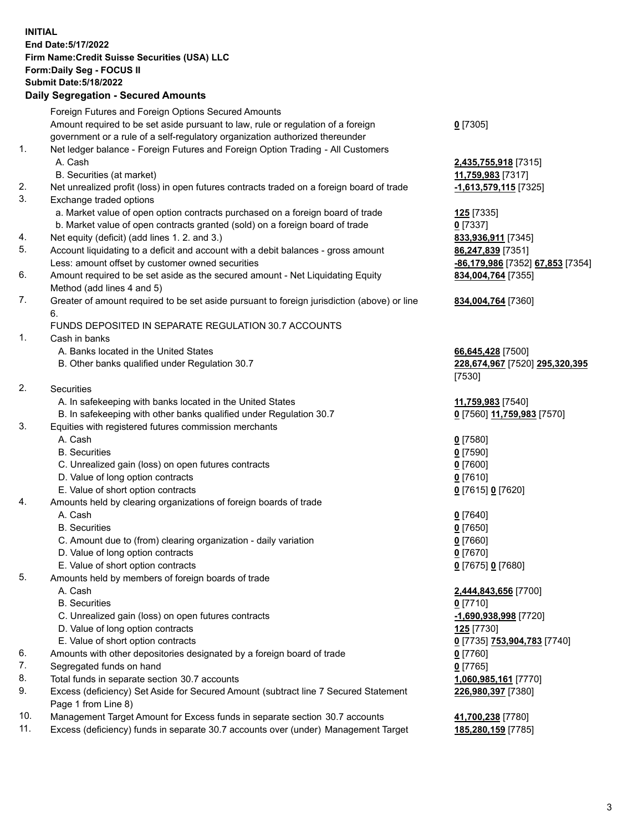**INITIAL End Date:5/17/2022 Firm Name:Credit Suisse Securities (USA) LLC Form:Daily Seg - FOCUS II Submit Date:5/18/2022**

## **Daily Segregation - Secured Amounts**

|     | Foreign Futures and Foreign Options Secured Amounts                                         |                                  |
|-----|---------------------------------------------------------------------------------------------|----------------------------------|
|     | Amount required to be set aside pursuant to law, rule or regulation of a foreign            | $0$ [7305]                       |
|     | government or a rule of a self-regulatory organization authorized thereunder                |                                  |
| 1.  | Net ledger balance - Foreign Futures and Foreign Option Trading - All Customers             |                                  |
|     | A. Cash                                                                                     | 2,435,755,918 [7315]             |
|     | B. Securities (at market)                                                                   | 11,759,983 [7317]                |
| 2.  | Net unrealized profit (loss) in open futures contracts traded on a foreign board of trade   | -1,613,579,115 [7325]            |
| 3.  | Exchange traded options                                                                     |                                  |
|     | a. Market value of open option contracts purchased on a foreign board of trade              | 125 [7335]                       |
|     | b. Market value of open contracts granted (sold) on a foreign board of trade                | $0$ [7337]                       |
| 4.  | Net equity (deficit) (add lines 1. 2. and 3.)                                               | 833,936,911 [7345]               |
| 5.  | Account liquidating to a deficit and account with a debit balances - gross amount           | 86,247,839 [7351]                |
|     | Less: amount offset by customer owned securities                                            | -86,179,986 [7352] 67,853 [7354] |
| 6.  | Amount required to be set aside as the secured amount - Net Liquidating Equity              | 834,004,764 [7355]               |
|     | Method (add lines 4 and 5)                                                                  |                                  |
| 7.  | Greater of amount required to be set aside pursuant to foreign jurisdiction (above) or line | 834,004,764 [7360]               |
|     | 6.<br>FUNDS DEPOSITED IN SEPARATE REGULATION 30.7 ACCOUNTS                                  |                                  |
| 1.  | Cash in banks                                                                               |                                  |
|     | A. Banks located in the United States                                                       | 66,645,428 [7500]                |
|     | B. Other banks qualified under Regulation 30.7                                              | 228,674,967 [7520] 295,320,395   |
|     |                                                                                             | [7530]                           |
| 2.  | Securities                                                                                  |                                  |
|     | A. In safekeeping with banks located in the United States                                   | 11,759,983 [7540]                |
|     | B. In safekeeping with other banks qualified under Regulation 30.7                          | 0 [7560] 11,759,983 [7570]       |
| 3.  | Equities with registered futures commission merchants                                       |                                  |
|     | A. Cash                                                                                     | $0$ [7580]                       |
|     | <b>B.</b> Securities                                                                        | $0$ [7590]                       |
|     | C. Unrealized gain (loss) on open futures contracts                                         | $0$ [7600]                       |
|     | D. Value of long option contracts                                                           | $0$ [7610]                       |
|     | E. Value of short option contracts                                                          | 0 [7615] 0 [7620]                |
| 4.  | Amounts held by clearing organizations of foreign boards of trade                           |                                  |
|     | A. Cash                                                                                     | $0$ [7640]                       |
|     | <b>B.</b> Securities                                                                        | $0$ [7650]                       |
|     | C. Amount due to (from) clearing organization - daily variation                             | $0$ [7660]                       |
|     | D. Value of long option contracts                                                           | $0$ [7670]                       |
|     | E. Value of short option contracts                                                          | 0 [7675] 0 [7680]                |
| 5.  | Amounts held by members of foreign boards of trade                                          |                                  |
|     | A. Cash                                                                                     | 2,444,843,656 [7700]             |
|     | <b>B.</b> Securities                                                                        | $0$ [7710]                       |
|     | C. Unrealized gain (loss) on open futures contracts                                         | -1,690,938,998 [7720]            |
|     | D. Value of long option contracts                                                           | <b>125</b> [7730]                |
|     | E. Value of short option contracts                                                          | 0 [7735] 753,904,783 [7740]      |
| 6.  | Amounts with other depositories designated by a foreign board of trade                      | $0$ [7760]                       |
| 7.  | Segregated funds on hand                                                                    | $0$ [7765]                       |
| 8.  | Total funds in separate section 30.7 accounts                                               | 1,060,985,161 [7770]             |
| 9.  | Excess (deficiency) Set Aside for Secured Amount (subtract line 7 Secured Statement         | 226,980,397 [7380]               |
|     | Page 1 from Line 8)                                                                         |                                  |
| 10. | Management Target Amount for Excess funds in separate section 30.7 accounts                 | 41,700,238 [7780]                |

11. Excess (deficiency) funds in separate 30.7 accounts over (under) Management Target **185,280,159** [7785]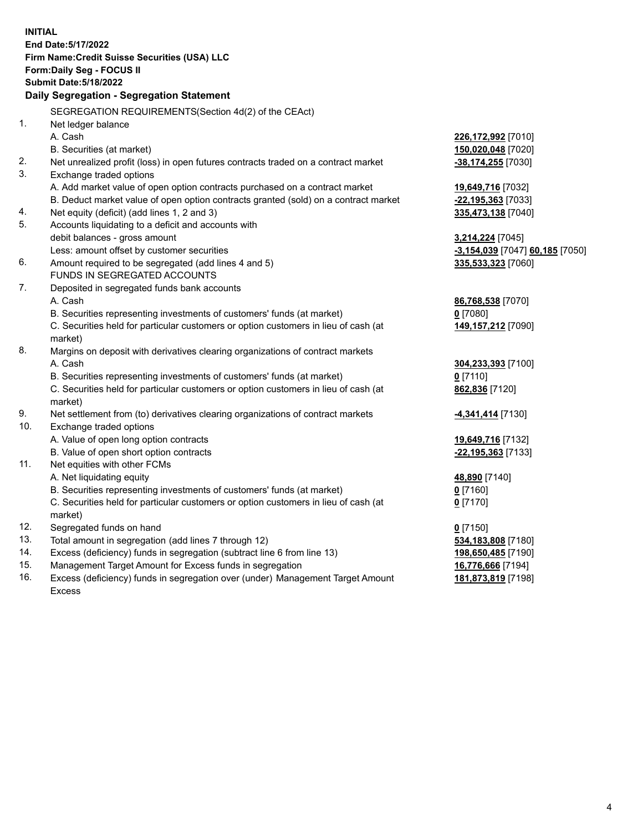|     | <b>INITIAL</b>                                                                      |                                 |
|-----|-------------------------------------------------------------------------------------|---------------------------------|
|     | End Date: 5/17/2022                                                                 |                                 |
|     | Firm Name: Credit Suisse Securities (USA) LLC                                       |                                 |
|     | Form: Daily Seg - FOCUS II                                                          |                                 |
|     | <b>Submit Date: 5/18/2022</b>                                                       |                                 |
|     | Daily Segregation - Segregation Statement                                           |                                 |
|     | SEGREGATION REQUIREMENTS(Section 4d(2) of the CEAct)                                |                                 |
| 1.  | Net ledger balance                                                                  |                                 |
|     | A. Cash                                                                             | 226,172,992 [7010]              |
|     | B. Securities (at market)                                                           | 150,020,048 [7020]              |
| 2.  | Net unrealized profit (loss) in open futures contracts traded on a contract market  | -38,174,255 [7030]              |
| 3.  | Exchange traded options                                                             |                                 |
|     | A. Add market value of open option contracts purchased on a contract market         | 19,649,716 [7032]               |
|     | B. Deduct market value of open option contracts granted (sold) on a contract market | -22,195,363 [7033]              |
| 4.  | Net equity (deficit) (add lines 1, 2 and 3)                                         | 335,473,138 [7040]              |
| 5.  | Accounts liquidating to a deficit and accounts with                                 |                                 |
|     | debit balances - gross amount                                                       | <b>3,214,224</b> [7045]         |
|     | Less: amount offset by customer securities                                          | -3,154,039 [7047] 60,185 [7050] |
| 6.  | Amount required to be segregated (add lines 4 and 5)                                | 335,533,323 [7060]              |
|     | FUNDS IN SEGREGATED ACCOUNTS                                                        |                                 |
| 7.  | Deposited in segregated funds bank accounts                                         |                                 |
|     | A. Cash                                                                             | 86,768,538 [7070]               |
|     | B. Securities representing investments of customers' funds (at market)              | $0$ [7080]                      |
|     | C. Securities held for particular customers or option customers in lieu of cash (at | 149,157,212 [7090]              |
|     | market)                                                                             |                                 |
| 8.  | Margins on deposit with derivatives clearing organizations of contract markets      |                                 |
|     | A. Cash                                                                             | 304,233,393 [7100]              |
|     | B. Securities representing investments of customers' funds (at market)              | $0$ [7110]                      |
|     | C. Securities held for particular customers or option customers in lieu of cash (at | 862,836 [7120]                  |
|     | market)                                                                             |                                 |
| 9.  | Net settlement from (to) derivatives clearing organizations of contract markets     | <b>4,341,414</b> [7130]         |
| 10. | Exchange traded options                                                             |                                 |
|     | A. Value of open long option contracts                                              | 19,649,716 [7132]               |
|     | B. Value of open short option contracts                                             | -22,195,363 [7133]              |
| 11. | Net equities with other FCMs                                                        |                                 |
|     | A. Net liquidating equity                                                           | 48,890 [7140]                   |
|     | B. Securities representing investments of customers' funds (at market)              | $0$ [7160]                      |
|     | C. Securities held for particular customers or option customers in lieu of cash (at | $0$ [7170]                      |
|     | market)                                                                             |                                 |
| 12. | Segregated funds on hand                                                            | $0$ [7150]                      |
| 13. | Total amount in segregation (add lines 7 through 12)                                | 534,183,808 [7180]              |
| 14. | Excess (deficiency) funds in segregation (subtract line 6 from line 13)             | 198,650,485 [7190]              |
| 15. | Management Target Amount for Excess funds in segregation                            | 16,776,666 [7194]               |
| 16. | Excess (deficiency) funds in segregation over (under) Management Target Amount      | 181,873,819 [7198]              |
|     | <b>Excess</b>                                                                       |                                 |